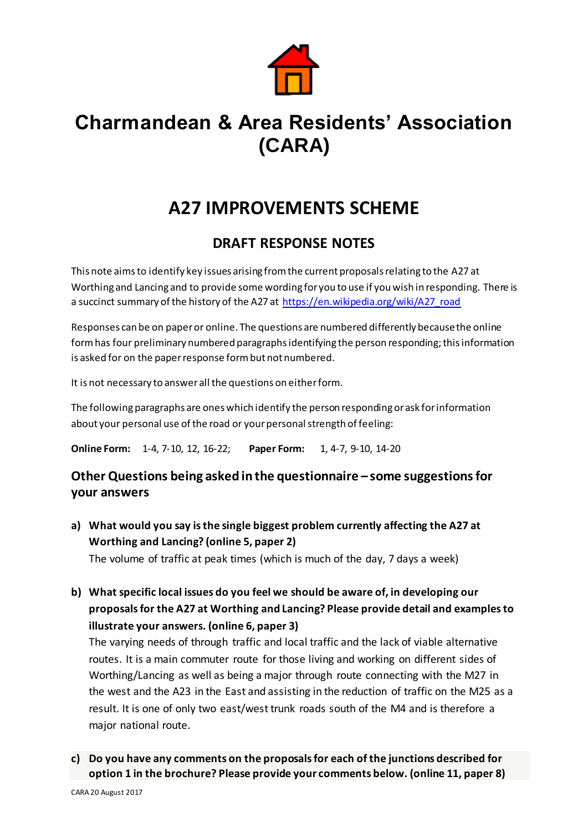

# **Charmandean & Area Residents' Association (CARA)**

## **A27 IMPROVEMENTS SCHEME**

## **DRAFT RESPONSE NOTES**

This note aims to identify key issues arising from the current proposals relating to the A27 at Worthing and Lancing and to provide some wording for you to use if you wish in responding. There is a succinct summary of the history of the A27 at [https://en.wikipedia.org/wiki/A27\\_road](https://en.wikipedia.org/wiki/A27_road)

Responses can be on paper or online. The questions are numbered differently because the online form has four preliminary numbered paragraphs identifying the person responding; this information is asked for on the paper response form but not numbered.

It is not necessary to answer all the questions on either form.

The following paragraphs are ones which identify the person responding or ask for information about your personal use of the road or your personal strength of feeling:

**Online Form:** 1-4, 7-10, 12, 16-22; **Paper Form:** 1, 4-7, 9-10, 14-20

## **Other Questions being asked in the questionnaire – some suggestions for your answers**

**a) What would you say is the single biggest problem currently affecting the A27 at Worthing and Lancing? (online 5, paper 2)**

The volume of traffic at peak times (which is much of the day, 7 days a week)

**b) What specific local issues do you feel we should be aware of, in developing our proposals for the A27 at Worthing and Lancing? Please provide detail and examples to illustrate your answers. (online 6, paper 3)**

The varying needs of through traffic and local traffic and the lack of viable alternative routes. It is a main commuter route for those living and working on different sides of Worthing/Lancing as well as being a major through route connecting with the M27 in the west and the A23 in the East and assisting in the reduction of traffic on the M25 as a result. It is one of only two east/west trunk roads south of the M4 and is therefore a major national route.

**c) Do you have any comments on the proposals for each of the junctions described for option 1 in the brochure? Please provide your comments below. (online 11, paper 8)**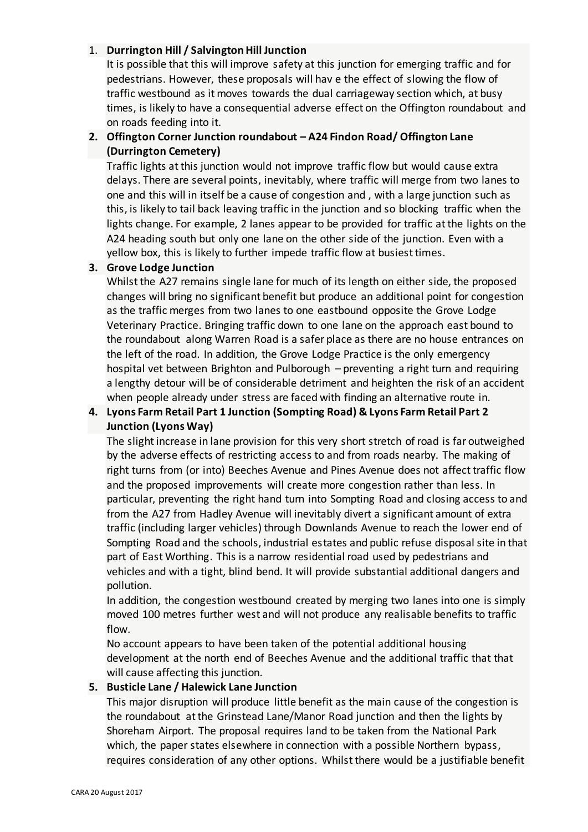#### 1. **Durrington Hill / Salvington Hill Junction**

It is possible that this will improve safety at this junction for emerging traffic and for pedestrians. However, these proposals will hav e the effect of slowing the flow of traffic westbound as it moves towards the dual carriageway section which, at busy times, is likely to have a consequential adverse effect on the Offington roundabout and on roads feeding into it.

#### **2. Offington Corner Junction roundabout – A24 Findon Road/ Offington Lane (Durrington Cemetery)**

Traffic lights at this junction would not improve traffic flow but would cause extra delays. There are several points, inevitably, where traffic will merge from two lanes to one and this will in itself be a cause of congestion and , with a large junction such as this, is likely to tail back leaving traffic in the junction and so blocking traffic when the lights change. For example, 2 lanes appear to be provided for traffic at the lights on the A24 heading south but only one lane on the other side of the junction. Even with a yellow box, this is likely to further impede traffic flow at busiest times.

#### **3. Grove Lodge Junction**

Whilst the A27 remains single lane for much of its length on either side, the proposed changes will bring no significant benefit but produce an additional point for congestion as the traffic merges from two lanes to one eastbound opposite the Grove Lodge Veterinary Practice. Bringing traffic down to one lane on the approach east bound to the roundabout along Warren Road is a safer place as there are no house entrances on the left of the road. In addition, the Grove Lodge Practice is the only emergency hospital vet between Brighton and Pulborough – preventing a right turn and requiring a lengthy detour will be of considerable detriment and heighten the risk of an accident when people already under stress are faced with finding an alternative route in.

#### **4. Lyons Farm Retail Part 1 Junction (Sompting Road) & Lyons Farm Retail Part 2 Junction (Lyons Way)**

The slight increase in lane provision for this very short stretch of road is far outweighed by the adverse effects of restricting access to and from roads nearby. The making of right turns from (or into) Beeches Avenue and Pines Avenue does not affect traffic flow and the proposed improvements will create more congestion rather than less. In particular, preventing the right hand turn into Sompting Road and closing access to and from the A27 from Hadley Avenue will inevitably divert a significant amount of extra traffic (including larger vehicles) through Downlands Avenue to reach the lower end of Sompting Road and the schools, industrial estates and public refuse disposal site in that part of East Worthing. This is a narrow residential road used by pedestrians and vehicles and with a tight, blind bend. It will provide substantial additional dangers and pollution.

In addition, the congestion westbound created by merging two lanes into one is simply moved 100 metres further west and will not produce any realisable benefits to traffic flow.

No account appears to have been taken of the potential additional housing development at the north end of Beeches Avenue and the additional traffic that that will cause affecting this junction.

#### **5. Busticle Lane / Halewick Lane Junction**

This major disruption will produce little benefit as the main cause of the congestion is the roundabout at the Grinstead Lane/Manor Road junction and then the lights by Shoreham Airport. The proposal requires land to be taken from the National Park which, the paper states elsewhere in connection with a possible Northern bypass, requires consideration of any other options. Whilst there would be a justifiable benefit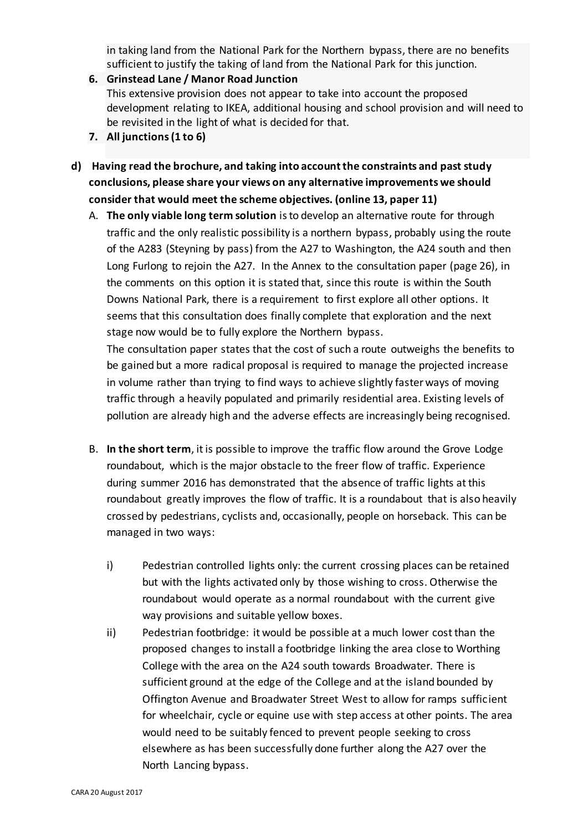in taking land from the National Park for the Northern bypass, there are no benefits sufficient to justify the taking of land from the National Park for this junction.

- **6. Grinstead Lane / Manor Road Junction** This extensive provision does not appear to take into account the proposed development relating to IKEA, additional housing and school provision and will need to be revisited in the light of what is decided for that.
- **7. All junctions (1 to 6)**
- **d) Having read the brochure, and taking into account the constraints and past study conclusions, please share your views on any alternative improvements we should consider that would meet the scheme objectives. (online 13, paper 11)**
	- A. **The only viable long term solution** is to develop an alternative route for through traffic and the only realistic possibility is a northern bypass, probably using the route of the A283 (Steyning by pass) from the A27 to Washington, the A24 south and then Long Furlong to rejoin the A27. In the Annex to the consultation paper (page 26), in the comments on this option it is stated that, since this route is within the South Downs National Park, there is a requirement to first explore all other options. It seems that this consultation does finally complete that exploration and the next stage now would be to fully explore the Northern bypass.

The consultation paper states that the cost of such a route outweighs the benefits to be gained but a more radical proposal is required to manage the projected increase in volume rather than trying to find ways to achieve slightly faster ways of moving traffic through a heavily populated and primarily residential area. Existing levels of pollution are already high and the adverse effects are increasingly being recognised.

- B. **In the short term**, it is possible to improve the traffic flow around the Grove Lodge roundabout, which is the major obstacle to the freer flow of traffic. Experience during summer 2016 has demonstrated that the absence of traffic lights at this roundabout greatly improves the flow of traffic. It is a roundabout that is also heavily crossed by pedestrians, cyclists and, occasionally, people on horseback. This can be managed in two ways:
	- i) Pedestrian controlled lights only: the current crossing places can be retained but with the lights activated only by those wishing to cross. Otherwise the roundabout would operate as a normal roundabout with the current give way provisions and suitable yellow boxes.
	- ii) Pedestrian footbridge: it would be possible at a much lower cost than the proposed changes to install a footbridge linking the area close to Worthing College with the area on the A24 south towards Broadwater. There is sufficient ground at the edge of the College and at the island bounded by Offington Avenue and Broadwater Street West to allow for ramps sufficient for wheelchair, cycle or equine use with step access at other points. The area would need to be suitably fenced to prevent people seeking to cross elsewhere as has been successfully done further along the A27 over the North Lancing bypass.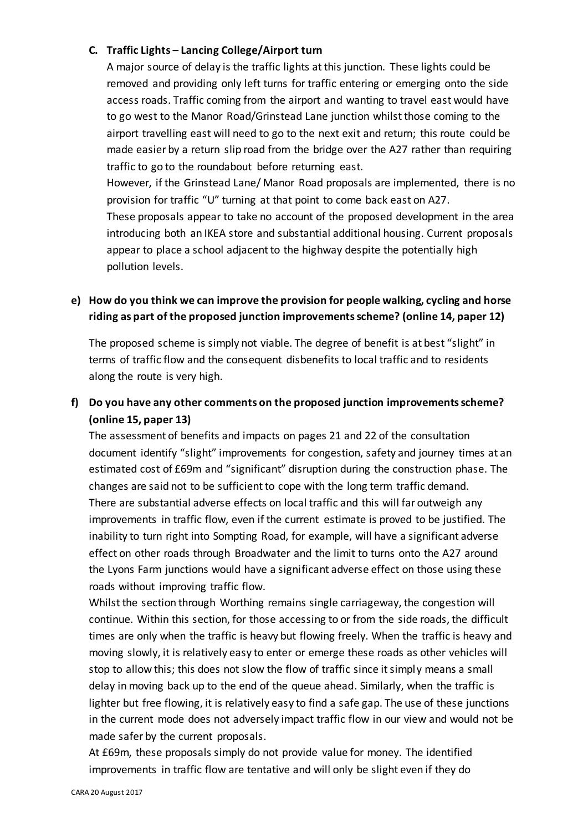#### **C. Traffic Lights – Lancing College/Airport turn**

A major source of delay is the traffic lights at this junction. These lights could be removed and providing only left turns for traffic entering or emerging onto the side access roads. Traffic coming from the airport and wanting to travel east would have to go west to the Manor Road/Grinstead Lane junction whilst those coming to the airport travelling east will need to go to the next exit and return; this route could be made easier by a return slip road from the bridge over the A27 rather than requiring traffic to go to the roundabout before returning east.

However, if the Grinstead Lane/ Manor Road proposals are implemented, there is no provision for traffic "U" turning at that point to come back east on A27. These proposals appear to take no account of the proposed development in the area introducing both an IKEA store and substantial additional housing. Current proposals appear to place a school adjacent to the highway despite the potentially high pollution levels.

#### **e) How do you think we can improve the provision for people walking, cycling and horse riding as part of the proposed junction improvements scheme? (online 14, paper 12)**

The proposed scheme is simply not viable. The degree of benefit is at best "slight" in terms of traffic flow and the consequent disbenefits to local traffic and to residents along the route is very high.

### **f) Do you have any other comments on the proposed junction improvements scheme? (online 15, paper 13)**

The assessment of benefits and impacts on pages 21 and 22 of the consultation document identify "slight" improvements for congestion, safety and journey times at an estimated cost of £69m and "significant" disruption during the construction phase. The changes are said not to be sufficient to cope with the long term traffic demand. There are substantial adverse effects on local traffic and this will far outweigh any improvements in traffic flow, even if the current estimate is proved to be justified. The inability to turn right into Sompting Road, for example, will have a significant adverse effect on other roads through Broadwater and the limit to turns onto the A27 around the Lyons Farm junctions would have a significant adverse effect on those using these roads without improving traffic flow.

Whilst the section through Worthing remains single carriageway, the congestion will continue. Within this section, for those accessing to or from the side roads, the difficult times are only when the traffic is heavy but flowing freely. When the traffic is heavy and moving slowly, it is relatively easy to enter or emerge these roads as other vehicles will stop to allow this; this does not slow the flow of traffic since it simply means a small delay in moving back up to the end of the queue ahead. Similarly, when the traffic is lighter but free flowing, it is relatively easy to find a safe gap. The use of these junctions in the current mode does not adversely impact traffic flow in our view and would not be made safer by the current proposals.

At £69m, these proposals simply do not provide value for money. The identified improvements in traffic flow are tentative and will only be slight even if they do